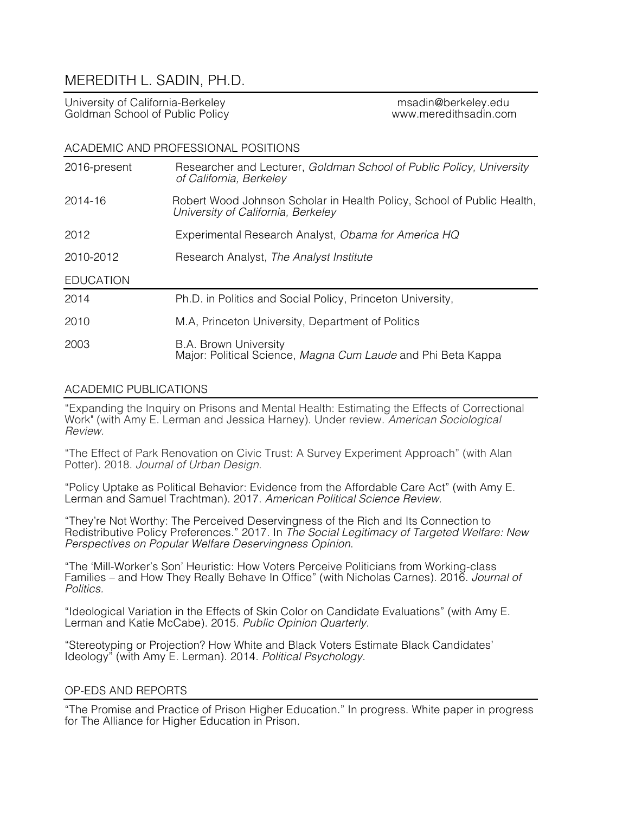# MEREDITH L. SADIN, PH.D.

University of California-Berkeley and the matrix of the multimeter of the multimeter of the multimeter of the m<br>Goldman School of Public Policy and the multimeter of the multimeter www.meredithsadin.com Goldman School of Public Policy

#### ACADEMIC AND PROFESSIONAL POSITIONS

| 2016-present     | Researcher and Lecturer, Goldman School of Public Policy, University<br>of California, Berkeley              |
|------------------|--------------------------------------------------------------------------------------------------------------|
| 2014-16          | Robert Wood Johnson Scholar in Health Policy, School of Public Health,<br>University of California, Berkeley |
| 2012             | Experimental Research Analyst, Obama for America HQ                                                          |
| 2010-2012        | Research Analyst, The Analyst Institute                                                                      |
| <b>EDUCATION</b> |                                                                                                              |
| 2014             | Ph.D. in Politics and Social Policy, Princeton University,                                                   |
| 2010             | M.A, Princeton University, Department of Politics                                                            |
| 2003             | <b>B.A. Brown University</b><br>Major: Political Science, Magna Cum Laude and Phi Beta Kappa                 |

# ACADEMIC PUBLICATIONS

"Expanding the Inquiry on Prisons and Mental Health: Estimating the Effects of Correctional Work" (with Amy E. Lerman and Jessica Harney). Under review. *American Sociological Review.* 

"The Effect of Park Renovation on Civic Trust: A Survey Experiment Approach" (with Alan Potter). 2018. *Journal of Urban Design*.

"Policy Uptake as Political Behavior: Evidence from the Affordable Care Act" (with Amy E. Lerman and Samuel Trachtman). 2017. *American Political Science Review*.

"They're Not Worthy: The Perceived Deservingness of the Rich and Its Connection to Redistributive Policy Preferences." 2017. In *The Social Legitimacy of Targeted Welfare: New Perspectives on Popular Welfare Deservingness Opinion*.

"The 'Mill-Worker's Son' Heuristic: How Voters Perceive Politicians from Working-class Families – and How They Really Behave In Office" (with Nicholas Carnes). 2016. *Journal of Politics.*

"Ideological Variation in the Effects of Skin Color on Candidate Evaluations" (with Amy E. Lerman and Katie McCabe). 2015. *Public Opinion Quarterly.*

"Stereotyping or Projection? How White and Black Voters Estimate Black Candidates' Ideology" (with Amy E. Lerman). 2014. *Political Psychology.*

## OP-EDS AND REPORTS

"The Promise and Practice of Prison Higher Education." In progress. White paper in progress for The Alliance for Higher Education in Prison.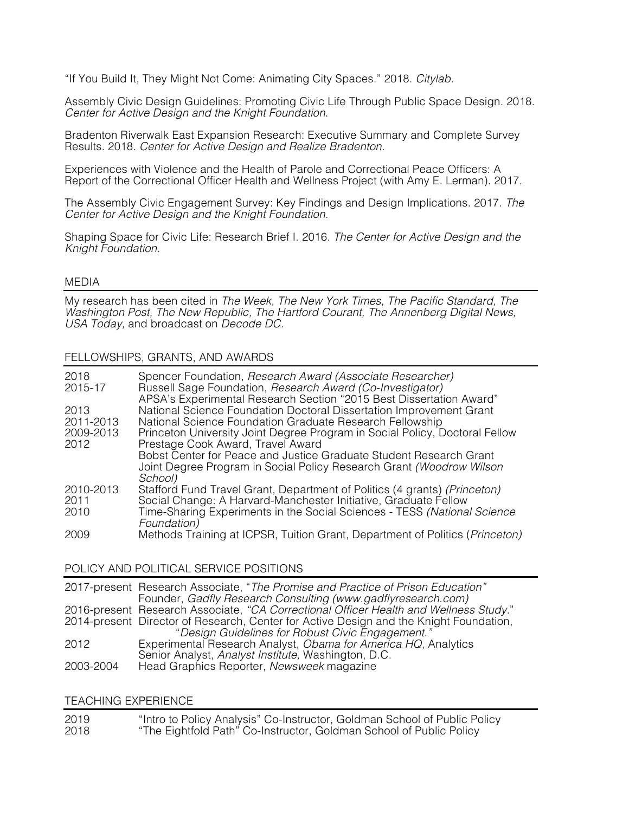"If You Build It, They Might Not Come: Animating City Spaces." 2018. *Citylab.* 

Assembly Civic Design Guidelines: Promoting Civic Life Through Public Space Design. 2018. *Center for Active Design and the Knight Foundation*.

Bradenton Riverwalk East Expansion Research: Executive Summary and Complete Survey Results. 2018. *Center for Active Design and Realize Bradenton.*

Experiences with Violence and the Health of Parole and Correctional Peace Officers: A Report of the Correctional Officer Health and Wellness Project (with Amy E. Lerman). 2017.

The Assembly Civic Engagement Survey: Key Findings and Design Implications. 2017. *The Center for Active Design and the Knight Foundation.* 

Shaping Space for Civic Life: Research Brief I. 2016. *The Center for Active Design and the Knight Foundation.* 

#### MEDIA

My research has been cited in *The Week, The New York Times, The Pacific Standard, The Washington Post, The New Republic, The Hartford Courant, The Annenberg Digital News, USA Today,* and broadcast on *Decode DC.* 

#### FELLOWSHIPS, GRANTS, AND AWARDS

| 2018<br>2015-17 | Spencer Foundation, Research Award (Associate Researcher)<br>Russell Sage Foundation, Research Award (Co-Investigator)<br>APSA's Experimental Research Section "2015 Best Dissertation Award" |
|-----------------|-----------------------------------------------------------------------------------------------------------------------------------------------------------------------------------------------|
| 2013            | National Science Foundation Doctoral Dissertation Improvement Grant                                                                                                                           |
| 2011-2013       | National Science Foundation Graduate Research Fellowship                                                                                                                                      |
| 2009-2013       | Princeton University Joint Degree Program in Social Policy, Doctoral Fellow                                                                                                                   |
| 2012            | Prestage Cook Award, Travel Award                                                                                                                                                             |
|                 | Bobst Center for Peace and Justice Graduate Student Research Grant                                                                                                                            |
|                 | Joint Degree Program in Social Policy Research Grant (Woodrow Wilson                                                                                                                          |
|                 | School)                                                                                                                                                                                       |
| 2010-2013       | Stafford Fund Travel Grant, Department of Politics (4 grants) (Princeton)                                                                                                                     |
| 2011            | Social Change: A Harvard-Manchester Initiative, Graduate Fellow                                                                                                                               |
| 2010            | Time-Sharing Experiments in the Social Sciences - TESS (National Science                                                                                                                      |
|                 | Foundation)                                                                                                                                                                                   |
| 2009            | Methods Training at ICPSR, Tuition Grant, Department of Politics (Princeton)                                                                                                                  |
|                 |                                                                                                                                                                                               |

## POLICY AND POLITICAL SERVICE POSITIONS

|           | 2017-present Research Associate, "The Promise and Practice of Prison Education"        |
|-----------|----------------------------------------------------------------------------------------|
|           | Founder, Gadfly Research Consulting (www.gadflyresearch.com)                           |
|           | 2016-present Research Associate, "CA Correctional Officer Health and Wellness Study."  |
|           | 2014-present Director of Research, Center for Active Design and the Knight Foundation, |
|           | "Design Guidelines for Robust Civic Engagement."                                       |
| 2012      | Experimental Research Analyst, Obama for America HQ, Analytics                         |
|           | Senior Analyst, Analyst Institute, Washington, D.C.                                    |
| 2003-2004 | Head Graphics Reporter, Newsweek magazine                                              |
|           |                                                                                        |

#### TEACHING EXPERIENCE

| 2019 | "Intro to Policy Analysis" Co-Instructor, Goldman School of Public Policy |
|------|---------------------------------------------------------------------------|
| 2018 | "The Eightfold Path" Co-Instructor, Goldman School of Public Policy       |